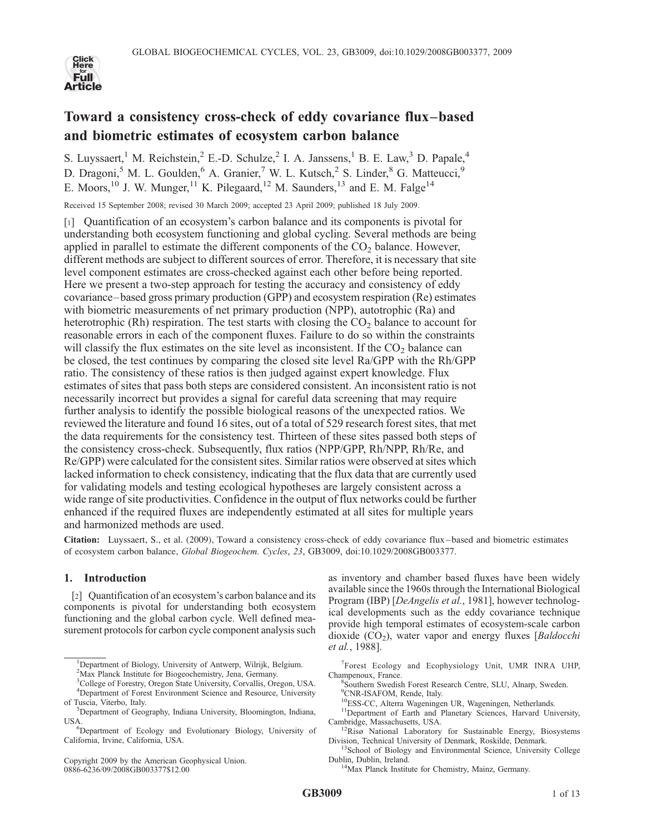

# Toward a consistency cross-check of eddy covariance flux–based and biometric estimates of ecosystem carbon balance

S. Luyssaert,<sup>1</sup> M. Reichstein,<sup>2</sup> E.-D. Schulze,<sup>2</sup> I. A. Janssens,<sup>1</sup> B. E. Law,<sup>3</sup> D. Papale,<sup>4</sup> D. Dragoni,<sup>5</sup> M. L. Goulden,<sup>6</sup> A. Granier,<sup>7</sup> W. L. Kutsch,<sup>2</sup> S. Linder,<sup>8</sup> G. Matteucci,<sup>9</sup> E. Moors,<sup>10</sup> J. W. Munger,<sup>11</sup> K. Pilegaard,<sup>12</sup> M. Saunders,<sup>13</sup> and E. M. Falge<sup>14</sup>

Received 15 September 2008; revised 30 March 2009; accepted 23 April 2009; published 18 July 2009.

[1] Quantification of an ecosystem's carbon balance and its components is pivotal for understanding both ecosystem functioning and global cycling. Several methods are being applied in parallel to estimate the different components of the  $CO<sub>2</sub>$  balance. However, different methods are subject to different sources of error. Therefore, it is necessary that site level component estimates are cross-checked against each other before being reported. Here we present a two-step approach for testing the accuracy and consistency of eddy covariance–based gross primary production (GPP) and ecosystem respiration (Re) estimates with biometric measurements of net primary production (NPP), autotrophic (Ra) and heterotrophic (Rh) respiration. The test starts with closing the  $CO<sub>2</sub>$  balance to account for reasonable errors in each of the component fluxes. Failure to do so within the constraints will classify the flux estimates on the site level as inconsistent. If the  $CO<sub>2</sub>$  balance can be closed, the test continues by comparing the closed site level Ra/GPP with the Rh/GPP ratio. The consistency of these ratios is then judged against expert knowledge. Flux estimates of sites that pass both steps are considered consistent. An inconsistent ratio is not necessarily incorrect but provides a signal for careful data screening that may require further analysis to identify the possible biological reasons of the unexpected ratios. We reviewed the literature and found 16 sites, out of a total of 529 research forest sites, that met the data requirements for the consistency test. Thirteen of these sites passed both steps of the consistency cross-check. Subsequently, flux ratios (NPP/GPP, Rh/NPP, Rh/Re, and Re/GPP) were calculated for the consistent sites. Similar ratios were observed at sites which lacked information to check consistency, indicating that the flux data that are currently used for validating models and testing ecological hypotheses are largely consistent across a wide range of site productivities. Confidence in the output of flux networks could be further enhanced if the required fluxes are independently estimated at all sites for multiple years and harmonized methods are used.

Citation: Luyssaert, S., et al. (2009), Toward a consistency cross-check of eddy covariance flux–based and biometric estimates of ecosystem carbon balance, Global Biogeochem. Cycles, 23, GB3009, doi:10.1029/2008GB003377.

# 1. Introduction

[2] Quantification of an ecosystem's carbon balance and its components is pivotal for understanding both ecosystem functioning and the global carbon cycle. Well defined measurement protocols for carbon cycle component analysis such

Copyright 2009 by the American Geophysical Union. 0886-6236/09/2008GB003377\$12.00

as inventory and chamber based fluxes have been widely available since the 1960s through the International Biological Program (IBP) [DeAngelis et al., 1981], however technological developments such as the eddy covariance technique provide high temporal estimates of ecosystem-scale carbon dioxide  $(CO_2)$ , water vapor and energy fluxes [Baldocchi et al., 1988].

<sup>7</sup>Forest Ecology and Ecophysiology Unit, UMR INRA UHP, Champenoux, France.

Southern Swedish Forest Research Centre, SLU, Alnarp, Sweden.

- 9 CNR-ISAFOM, Rende, Italy.
- 
- <sup>10</sup>ESS-CC, Alterra Wageningen UR, Wageningen, Netherlands.<br><sup>11</sup>Department of Earth and Planetary Sciences, Harvard University, Cambridge, Massachusetts, USA.

<sup>&</sup>lt;sup>1</sup>Department of Biology, University of Antwerp, Wilrijk, Belgium.

<sup>2</sup> Max Planck Institute for Biogeochemistry, Jena, Germany.

<sup>3</sup> College of Forestry, Oregon State University, Corvallis, Oregon, USA. 4 Department of Forest Environment Science and Resource, University

of Tuscia, Viterbo, Italy. <sup>5</sup>Department of Geography, Indiana University, Bloomington, Indiana,

USA.

Department of Ecology and Evolutionary Biology, University of California, Irvine, California, USA.

 $12$ Risø National Laboratory for Sustainable Energy, Biosystems Division, Technical University of Denmark, Roskilde, Denmark.<br><sup>13</sup>School of Biology and Environmental Science, University College

Dublin, Dublin, Ireland. 14Max Planck Institute for Chemistry, Mainz, Germany.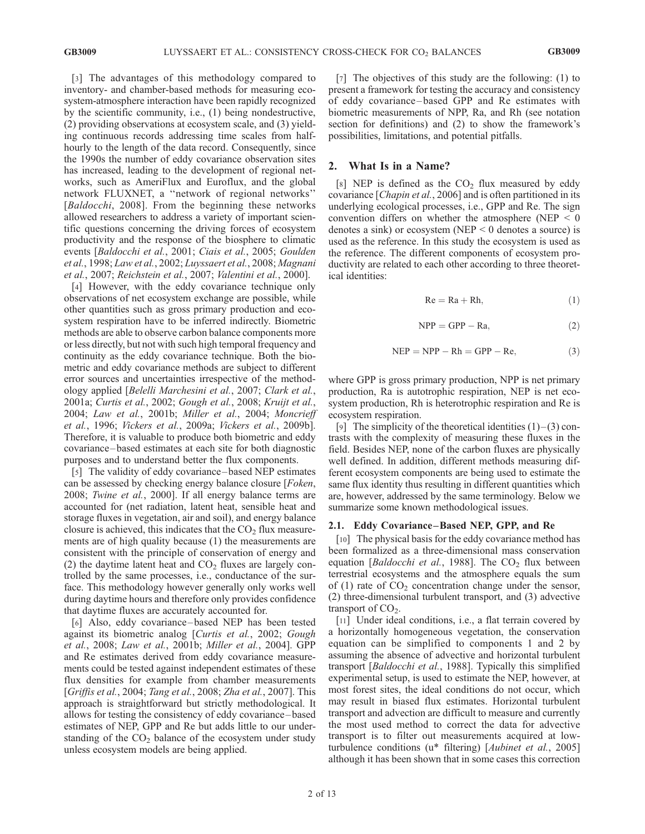[3] The advantages of this methodology compared to inventory- and chamber-based methods for measuring ecosystem-atmosphere interaction have been rapidly recognized by the scientific community, i.e., (1) being nondestructive, (2) providing observations at ecosystem scale, and (3) yielding continuous records addressing time scales from halfhourly to the length of the data record. Consequently, since the 1990s the number of eddy covariance observation sites has increased, leading to the development of regional networks, such as AmeriFlux and Euroflux, and the global network FLUXNET, a ''network of regional networks'' [Baldocchi, 2008]. From the beginning these networks allowed researchers to address a variety of important scientific questions concerning the driving forces of ecosystem productivity and the response of the biosphere to climatic events [Baldocchi et al., 2001; Ciais et al., 2005; Goulden et al., 1998; Law et al., 2002; Luyssaert et al., 2008; Magnani et al., 2007; Reichstein et al., 2007; Valentini et al., 2000].

[4] However, with the eddy covariance technique only observations of net ecosystem exchange are possible, while other quantities such as gross primary production and ecosystem respiration have to be inferred indirectly. Biometric methods are able to observe carbon balance components more or less directly, but not with such high temporal frequency and continuity as the eddy covariance technique. Both the biometric and eddy covariance methods are subject to different error sources and uncertainties irrespective of the methodology applied [Belelli Marchesini et al., 2007; Clark et al., 2001a; Curtis et al., 2002; Gough et al., 2008; Kruijt et al., 2004; Law et al., 2001b; Miller et al., 2004; Moncrieff et al., 1996; Vickers et al., 2009a; Vickers et al., 2009b]. Therefore, it is valuable to produce both biometric and eddy covariance – based estimates at each site for both diagnostic purposes and to understand better the flux components.

[5] The validity of eddy covariance – based NEP estimates can be assessed by checking energy balance closure [Foken, 2008; Twine et al., 2000]. If all energy balance terms are accounted for (net radiation, latent heat, sensible heat and storage fluxes in vegetation, air and soil), and energy balance closure is achieved, this indicates that the  $CO<sub>2</sub>$  flux measurements are of high quality because (1) the measurements are consistent with the principle of conservation of energy and (2) the daytime latent heat and  $CO<sub>2</sub>$  fluxes are largely controlled by the same processes, i.e., conductance of the surface. This methodology however generally only works well during daytime hours and therefore only provides confidence that daytime fluxes are accurately accounted for.

[6] Also, eddy covariance – based NEP has been tested against its biometric analog [Curtis et al., 2002; Gough et al., 2008; Law et al., 2001b; Miller et al., 2004]. GPP and Re estimates derived from eddy covariance measurements could be tested against independent estimates of these flux densities for example from chamber measurements [Griffis et al., 2004; Tang et al., 2008; Zha et al., 2007]. This approach is straightforward but strictly methodological. It allows for testing the consistency of eddy covariance – based estimates of NEP, GPP and Re but adds little to our understanding of the  $CO<sub>2</sub>$  balance of the ecosystem under study unless ecosystem models are being applied.

[7] The objectives of this study are the following: (1) to present a framework for testing the accuracy and consistency of eddy covariance – based GPP and Re estimates with biometric measurements of NPP, Ra, and Rh (see notation section for definitions) and (2) to show the framework's possibilities, limitations, and potential pitfalls.

# 2. What Is in a Name?

[8] NEP is defined as the  $CO<sub>2</sub>$  flux measured by eddy covariance [Chapin et al., 2006] and is often partitioned in its underlying ecological processes, i.e., GPP and Re. The sign convention differs on whether the atmosphere (NEP  $\leq$  0 denotes a sink) or ecosystem (NEP  $\leq$  0 denotes a source) is used as the reference. In this study the ecosystem is used as the reference. The different components of ecosystem productivity are related to each other according to three theoretical identities:

$$
Re = Ra + Rh,
$$
 (1)

$$
NPP = GPP - Ra,
$$
 (2)

$$
NEP = NPP - Rh = GPP - Re,
$$
 (3)

where GPP is gross primary production, NPP is net primary production, Ra is autotrophic respiration, NEP is net ecosystem production, Rh is heterotrophic respiration and Re is ecosystem respiration.

[9] The simplicity of the theoretical identities  $(1)$  –  $(3)$  contrasts with the complexity of measuring these fluxes in the field. Besides NEP, none of the carbon fluxes are physically well defined. In addition, different methods measuring different ecosystem components are being used to estimate the same flux identity thus resulting in different quantities which are, however, addressed by the same terminology. Below we summarize some known methodological issues.

### 2.1. Eddy Covariance –Based NEP, GPP, and Re

[10] The physical basis for the eddy covariance method has been formalized as a three-dimensional mass conservation equation [Baldocchi et al., 1988]. The  $CO<sub>2</sub>$  flux between terrestrial ecosystems and the atmosphere equals the sum of  $(1)$  rate of  $CO<sub>2</sub>$  concentration change under the sensor, (2) three-dimensional turbulent transport, and (3) advective transport of  $CO<sub>2</sub>$ .

[11] Under ideal conditions, i.e., a flat terrain covered by a horizontally homogeneous vegetation, the conservation equation can be simplified to components 1 and 2 by assuming the absence of advective and horizontal turbulent transport [Baldocchi et al., 1988]. Typically this simplified experimental setup, is used to estimate the NEP, however, at most forest sites, the ideal conditions do not occur, which may result in biased flux estimates. Horizontal turbulent transport and advection are difficult to measure and currently the most used method to correct the data for advective transport is to filter out measurements acquired at lowturbulence conditions (u\* filtering) [Aubinet et al., 2005] although it has been shown that in some cases this correction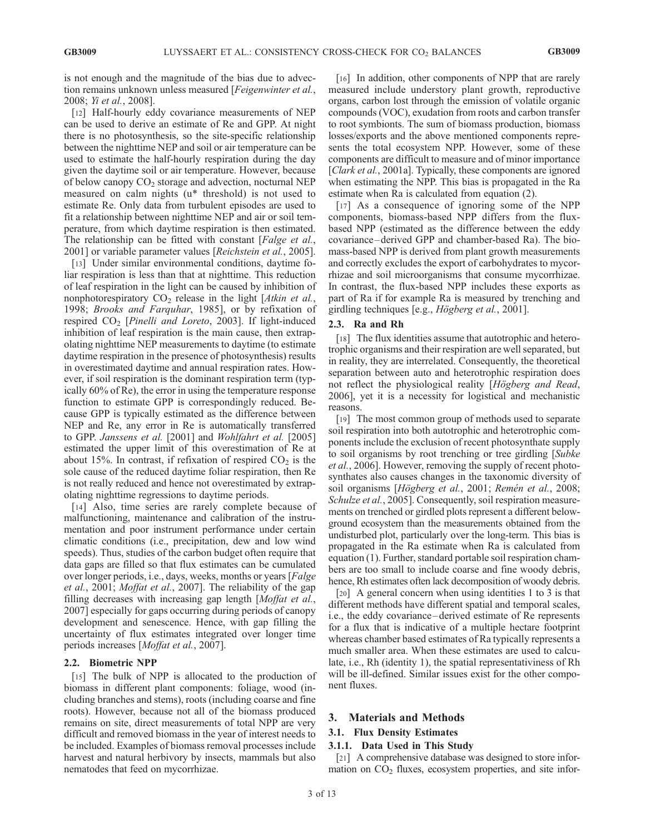is not enough and the magnitude of the bias due to advection remains unknown unless measured [*Feigenwinter et al.*, 2008; Yi et al., 2008].

[12] Half-hourly eddy covariance measurements of NEP can be used to derive an estimate of Re and GPP. At night there is no photosynthesis, so the site-specific relationship between the nighttime NEP and soil or air temperature can be used to estimate the half-hourly respiration during the day given the daytime soil or air temperature. However, because of below canopy  $CO<sub>2</sub>$  storage and advection, nocturnal NEP measured on calm nights (u\* threshold) is not used to estimate Re. Only data from turbulent episodes are used to fit a relationship between nighttime NEP and air or soil temperature, from which daytime respiration is then estimated. The relationship can be fitted with constant [*Falge et al.*, 2001] or variable parameter values [Reichstein et al., 2005].

[13] Under similar environmental conditions, daytime foliar respiration is less than that at nighttime. This reduction of leaf respiration in the light can be caused by inhibition of nonphotorespiratory  $CO<sub>2</sub>$  release in the light [Atkin et al., 1998; Brooks and Farquhar, 1985], or by refixation of respired  $CO<sub>2</sub>$  [Pinelli and Loreto, 2003]. If light-induced inhibition of leaf respiration is the main cause, then extrapolating nighttime NEP measurements to daytime (to estimate daytime respiration in the presence of photosynthesis) results in overestimated daytime and annual respiration rates. However, if soil respiration is the dominant respiration term (typically 60% of Re), the error in using the temperature response function to estimate GPP is correspondingly reduced. Because GPP is typically estimated as the difference between NEP and Re, any error in Re is automatically transferred to GPP. Janssens et al. [2001] and Wohlfahrt et al. [2005] estimated the upper limit of this overestimation of Re at about 15%. In contrast, if refixation of respired  $CO<sub>2</sub>$  is the sole cause of the reduced daytime foliar respiration, then Re is not really reduced and hence not overestimated by extrapolating nighttime regressions to daytime periods.

[14] Also, time series are rarely complete because of malfunctioning, maintenance and calibration of the instrumentation and poor instrument performance under certain climatic conditions (i.e., precipitation, dew and low wind speeds). Thus, studies of the carbon budget often require that data gaps are filled so that flux estimates can be cumulated over longer periods, i.e., days, weeks, months or years [Falge et al., 2001; Moffat et al., 2007]. The reliability of the gap filling decreases with increasing gap length [Moffat et al., 2007] especially for gaps occurring during periods of canopy development and senescence. Hence, with gap filling the uncertainty of flux estimates integrated over longer time periods increases [Moffat et al., 2007].

### 2.2. Biometric NPP

[15] The bulk of NPP is allocated to the production of biomass in different plant components: foliage, wood (including branches and stems), roots (including coarse and fine roots). However, because not all of the biomass produced remains on site, direct measurements of total NPP are very difficult and removed biomass in the year of interest needs to be included. Examples of biomass removal processes include harvest and natural herbivory by insects, mammals but also nematodes that feed on mycorrhizae.

[16] In addition, other components of NPP that are rarely measured include understory plant growth, reproductive organs, carbon lost through the emission of volatile organic compounds (VOC), exudation from roots and carbon transfer to root symbionts. The sum of biomass production, biomass losses/exports and the above mentioned components represents the total ecosystem NPP. However, some of these components are difficult to measure and of minor importance [*Clark et al.*, 2001a]. Typically, these components are ignored when estimating the NPP. This bias is propagated in the Ra estimate when Ra is calculated from equation (2).

[17] As a consequence of ignoring some of the NPP components, biomass-based NPP differs from the fluxbased NPP (estimated as the difference between the eddy covariance – derived GPP and chamber-based Ra). The biomass-based NPP is derived from plant growth measurements and correctly excludes the export of carbohydrates to mycorrhizae and soil microorganisms that consume mycorrhizae. In contrast, the flux-based NPP includes these exports as part of Ra if for example Ra is measured by trenching and girdling techniques [e.g.,  $H\ddot{o}gberg$  et al., 2001].

### 2.3. Ra and Rh

[18] The flux identities assume that autotrophic and heterotrophic organisms and their respiration are well separated, but in reality, they are interrelated. Consequently, the theoretical separation between auto and heterotrophic respiration does not reflect the physiological reality [Högberg and Read, 2006], yet it is a necessity for logistical and mechanistic reasons.

[19] The most common group of methods used to separate soil respiration into both autotrophic and heterotrophic components include the exclusion of recent photosynthate supply to soil organisms by root trenching or tree girdling [Subke et al., 2006]. However, removing the supply of recent photosynthates also causes changes in the taxonomic diversity of soil organisms [Högberg et al., 2001; Remén et al., 2008; Schulze et al., 2005]. Consequently, soil respiration measurements on trenched or girdled plots represent a different belowground ecosystem than the measurements obtained from the undisturbed plot, particularly over the long-term. This bias is propagated in the Ra estimate when Ra is calculated from equation (1). Further, standard portable soil respiration chambers are too small to include coarse and fine woody debris, hence, Rh estimates often lack decomposition of woody debris.

[20] A general concern when using identities 1 to 3 is that different methods have different spatial and temporal scales, i.e., the eddy covariance – derived estimate of Re represents for a flux that is indicative of a multiple hectare footprint whereas chamber based estimates of Ra typically represents a much smaller area. When these estimates are used to calculate, i.e., Rh (identity 1), the spatial representativiness of Rh will be ill-defined. Similar issues exist for the other component fluxes.

# 3. Materials and Methods

### 3.1. Flux Density Estimates

# 3.1.1. Data Used in This Study

[21] A comprehensive database was designed to store information on  $CO<sub>2</sub>$  fluxes, ecosystem properties, and site infor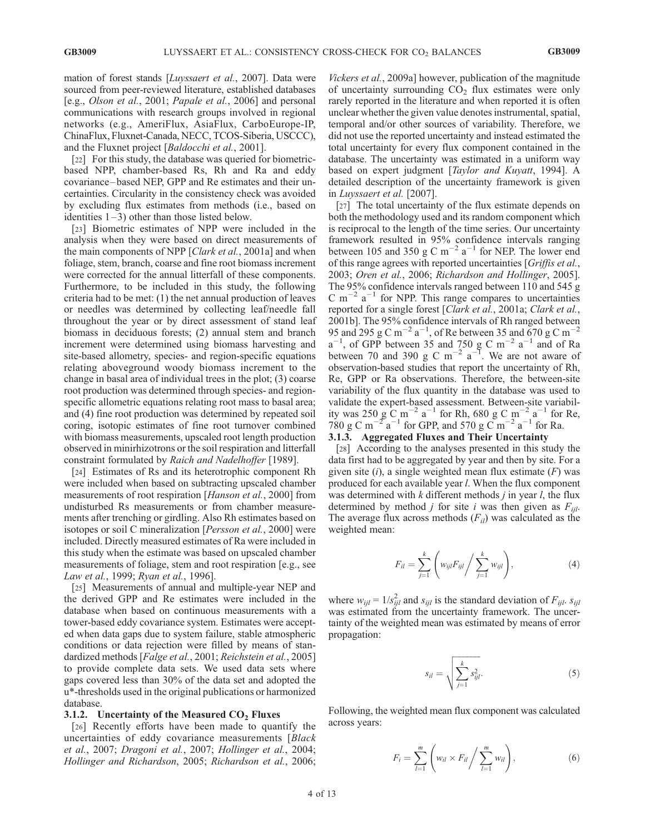mation of forest stands [*Luyssaert et al.*, 2007]. Data were sourced from peer-reviewed literature, established databases [e.g., Olson et al., 2001; Papale et al., 2006] and personal communications with research groups involved in regional networks (e.g., AmeriFlux, AsiaFlux, CarboEurope-IP, ChinaFlux, Fluxnet-Canada, NECC, TCOS-Siberia, USCCC), and the Fluxnet project [Baldocchi et al., 2001].

[22] For this study, the database was queried for biometricbased NPP, chamber-based Rs, Rh and Ra and eddy covariance – based NEP, GPP and Re estimates and their uncertainties. Circularity in the consistency check was avoided by excluding flux estimates from methods (i.e., based on identities  $1-3$ ) other than those listed below.

[23] Biometric estimates of NPP were included in the analysis when they were based on direct measurements of the main components of NPP [*Clark et al.*, 2001a] and when foliage, stem, branch, coarse and fine root biomass increment were corrected for the annual litterfall of these components. Furthermore, to be included in this study, the following criteria had to be met: (1) the net annual production of leaves or needles was determined by collecting leaf/needle fall throughout the year or by direct assessment of stand leaf biomass in deciduous forests; (2) annual stem and branch increment were determined using biomass harvesting and site-based allometry, species- and region-specific equations relating aboveground woody biomass increment to the change in basal area of individual trees in the plot; (3) coarse root production was determined through species- and regionspecific allometric equations relating root mass to basal area; and (4) fine root production was determined by repeated soil coring, isotopic estimates of fine root turnover combined with biomass measurements, upscaled root length production observed in minirhizotrons or the soil respiration and litterfall constraint formulated by Raich and Nadelhoffer [1989].

[24] Estimates of Rs and its heterotrophic component Rh were included when based on subtracting upscaled chamber measurements of root respiration [Hanson et al., 2000] from undisturbed Rs measurements or from chamber measurements after trenching or girdling. Also Rh estimates based on isotopes or soil C mineralization [*Persson et al.*, 2000] were included. Directly measured estimates of Ra were included in this study when the estimate was based on upscaled chamber measurements of foliage, stem and root respiration [e.g., see Law et al., 1999; Ryan et al., 1996].

[25] Measurements of annual and multiple-year NEP and the derived GPP and Re estimates were included in the database when based on continuous measurements with a tower-based eddy covariance system. Estimates were accepted when data gaps due to system failure, stable atmospheric conditions or data rejection were filled by means of standardized methods [Falge et al., 2001; Reichstein et al., 2005] to provide complete data sets. We used data sets where gaps covered less than 30% of the data set and adopted the u\*-thresholds used in the original publications or harmonized database.

### 3.1.2. Uncertainty of the Measured  $CO<sub>2</sub>$  Fluxes

[26] Recently efforts have been made to quantify the uncertainties of eddy covariance measurements [Black] et al., 2007; Dragoni et al., 2007; Hollinger et al., 2004; Hollinger and Richardson, 2005; Richardson et al., 2006;

Vickers et al., 2009a] however, publication of the magnitude of uncertainty surrounding  $CO<sub>2</sub>$  flux estimates were only rarely reported in the literature and when reported it is often unclear whether the given value denotes instrumental, spatial, temporal and/or other sources of variability. Therefore, we did not use the reported uncertainty and instead estimated the total uncertainty for every flux component contained in the database. The uncertainty was estimated in a uniform way based on expert judgment [Taylor and Kuyatt, 1994]. A detailed description of the uncertainty framework is given in Luyssaert et al. [2007].

[27] The total uncertainty of the flux estimate depends on both the methodology used and its random component which is reciprocal to the length of the time series. Our uncertainty framework resulted in 95% confidence intervals ranging between 105 and 350 g C m<sup>-2</sup> a<sup>-1</sup> for NEP. The lower end of this range agrees with reported uncertainties [Griffis et al., 2003; Oren et al., 2006; Richardson and Hollinger, 2005]. The 95% confidence intervals ranged between 110 and 545 g C m<sup>-2</sup> a<sup>-1</sup> for NPP. This range compares to uncertainties reported for a single forest [Clark et al., 2001a; Clark et al., 2001b]. The 95% confidence intervals of Rh ranged between 95 and 295 g C m<sup>-2</sup> a<sup>-1</sup>, of Re between 35 and 670 g C m<sup>-2</sup>  $a^{-1}$ , of GPP between 35 and 750 g C m<sup>-2</sup>  $a^{-1}$  and of Ra between 70 and 390 g C m<sup>-2</sup> a<sup>-1</sup>. We are not aware of observation-based studies that report the uncertainty of Rh, Re, GPP or Ra observations. Therefore, the between-site variability of the flux quantity in the database was used to validate the expert-based assessment. Between-site variability was 250 g  $\rm C~m^{-2}~a^{-1}$  for Rh, 680 g  $\rm C~m^{-2}~a^{-1}$  for Re, 780 g C m<sup>-2</sup><sup>a<sup>-1</sup> for GPP, and 570 g C m<sup>-2</sup> a<sup>-1</sup> for Ra.</sup>

# 3.1.3. Aggregated Fluxes and Their Uncertainty

[28] According to the analyses presented in this study the data first had to be aggregated by year and then by site. For a given site  $(i)$ , a single weighted mean flux estimate  $(F)$  was produced for each available year l. When the flux component was determined with  $k$  different methods  $j$  in year  $l$ , the flux determined by method *j* for site *i* was then given as  $F_{ijl}$ . The average flux across methods  $(F_{il})$  was calculated as the weighted mean:

$$
F_{il} = \sum_{j=1}^{k} \left( w_{ijl} F_{ijl} / \sum_{j=1}^{k} w_{ijl} \right), \tag{4}
$$

where  $w_{ijl} = 1/s_{ijl}^2$  and  $s_{ijl}$  is the standard deviation of  $F_{ijl}$ .  $s_{ijl}$ was estimated from the uncertainty framework. The uncertainty of the weighted mean was estimated by means of error propagation:

$$
s_{il} = \sqrt{\sum_{j=1}^{k} s_{ijl}^2}.
$$
 (5)

Following, the weighted mean flux component was calculated across years:

$$
F_i = \sum_{l=1}^{m} \left( w_{il} \times F_{il} / \sum_{l=1}^{m} w_{il} \right), \tag{6}
$$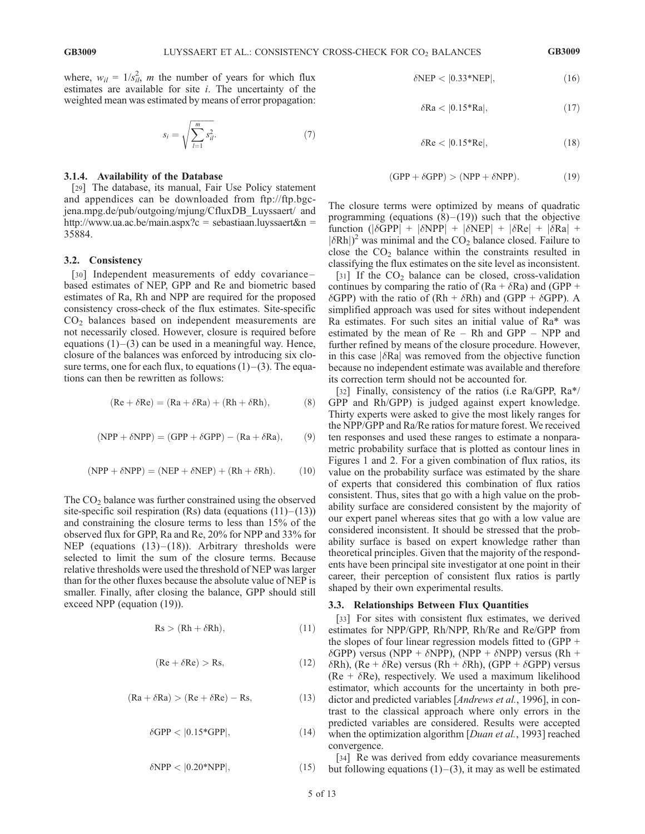where,  $w_{il} = 1/s_{il}^2$ , *m* the number of years for which flux estimates are available for site  $i$ . The uncertainty of the weighted mean was estimated by means of error propagation:

$$
s_i = \sqrt{\sum_{l=1}^{m} s_{il}^2}.\tag{7}
$$

### 3.1.4. Availability of the Database

[29] The database, its manual, Fair Use Policy statement and appendices can be downloaded from ftp://ftp.bgcjena.mpg.de/pub/outgoing/mjung/CfluxDB\_Luyssaert/ and http://www.ua.ac.be/main.aspx?c = sebastiaan.luyssaert&n = 35884.

# 3.2. Consistency

[30] Independent measurements of eddy covariancebased estimates of NEP, GPP and Re and biometric based estimates of Ra, Rh and NPP are required for the proposed consistency cross-check of the flux estimates. Site-specific  $CO<sub>2</sub>$  balances based on independent measurements are not necessarily closed. However, closure is required before equations  $(1)$ – $(3)$  can be used in a meaningful way. Hence, closure of the balances was enforced by introducing six closure terms, one for each flux, to equations  $(1)$  –  $(3)$ . The equations can then be rewritten as follows:

$$
(\text{Re} + \delta \text{Re}) = (\text{Ra} + \delta \text{Ra}) + (\text{Rh} + \delta \text{Rh}), \tag{8}
$$

$$
(NPP + \delta NPP) = (GPP + \delta GPP) - (Ra + \delta Ra), \qquad (9)
$$

$$
(NPP + \delta NPP) = (NEP + \delta NEP) + (Rh + \delta Rh). \tag{10}
$$

The  $CO<sub>2</sub>$  balance was further constrained using the observed site-specific soil respiration  $(Rs)$  data (equations  $(11)$ – $(13)$ ) and constraining the closure terms to less than 15% of the observed flux for GPP, Ra and Re, 20% for NPP and 33% for NEP (equations  $(13)$ – $(18)$ ). Arbitrary thresholds were selected to limit the sum of the closure terms. Because relative thresholds were used the threshold of NEP was larger than for the other fluxes because the absolute value of NEP is smaller. Finally, after closing the balance, GPP should still exceed NPP (equation (19)).

$$
Rs > (Rh + \delta Rh), \tag{11}
$$

$$
(\text{Re} + \delta \text{Re}) > \text{Rs},\tag{12}
$$

$$
(\text{Ra} + \delta \text{Ra}) > (\text{Re} + \delta \text{Re}) - \text{Rs},\tag{13}
$$

$$
\delta \text{GPP} < |0.15 \text{*GPP}|,\tag{14}
$$

$$
\delta \text{NPP} < |0.20^* \text{NPP}|,\tag{15}
$$

$$
\delta \text{NEP} < |0.33 \text{*NEP}|,\tag{16}
$$

$$
\delta \text{Ra} < |0.15 \text{*Ra}|,\tag{17}
$$

$$
\delta \text{Re} < |0.15 \, \text{*Re}|,\tag{18}
$$

$$
(\text{GPP} + \delta \text{GPP}) > (\text{NPP} + \delta \text{NPP}). \tag{19}
$$

The closure terms were optimized by means of quadratic programming (equations  $(8)$ – $(19)$ ) such that the objective function ( $|\delta \text{GPP}|$  +  $|\delta \text{NPP}|$  +  $|\delta \text{NEP}|$  +  $|\delta \text{Re}|$  +  $|\delta \text{Ra}|$  +  $|\delta Rh|$ <sup>2</sup> was minimal and the CO<sub>2</sub> balance closed. Failure to close the  $CO<sub>2</sub>$  balance within the constraints resulted in classifying the flux estimates on the site level as inconsistent.

[31] If the  $CO<sub>2</sub>$  balance can be closed, cross-validation continues by comparing the ratio of  $(Ra + \delta Ra)$  and  $(GPP +$  $\delta$ GPP) with the ratio of (Rh +  $\delta$ Rh) and (GPP +  $\delta$ GPP). A simplified approach was used for sites without independent Ra estimates. For such sites an initial value of Ra\* was estimated by the mean of Re – Rh and GPP – NPP and further refined by means of the closure procedure. However, in this case  $|\delta \text{Ra}|$  was removed from the objective function because no independent estimate was available and therefore its correction term should not be accounted for.

[32] Finally, consistency of the ratios (i.e Ra/GPP, Ra\*/ GPP and Rh/GPP) is judged against expert knowledge. Thirty experts were asked to give the most likely ranges for the NPP/GPP and Ra/Re ratios for mature forest. We received ten responses and used these ranges to estimate a nonparametric probability surface that is plotted as contour lines in Figures 1 and 2. For a given combination of flux ratios, its value on the probability surface was estimated by the share of experts that considered this combination of flux ratios consistent. Thus, sites that go with a high value on the probability surface are considered consistent by the majority of our expert panel whereas sites that go with a low value are considered inconsistent. It should be stressed that the probability surface is based on expert knowledge rather than theoretical principles. Given that the majority of the respondents have been principal site investigator at one point in their career, their perception of consistent flux ratios is partly shaped by their own experimental results.

#### 3.3. Relationships Between Flux Quantities

[33] For sites with consistent flux estimates, we derived estimates for NPP/GPP, Rh/NPP, Rh/Re and Re/GPP from the slopes of four linear regression models fitted to (GPP +  $\delta$ GPP) versus (NPP +  $\delta$ NPP), (NPP +  $\delta$ NPP) versus (Rh +  $\delta$ Rh), (Re +  $\delta$ Re) versus (Rh +  $\delta$ Rh), (GPP +  $\delta$ GPP) versus (Re +  $\delta$ Re), respectively. We used a maximum likelihood estimator, which accounts for the uncertainty in both predictor and predicted variables [Andrews et al., 1996], in contrast to the classical approach where only errors in the predicted variables are considered. Results were accepted when the optimization algorithm [Duan et al., 1993] reached convergence.

[34] Re was derived from eddy covariance measurements but following equations  $(1)$ – $(3)$ , it may as well be estimated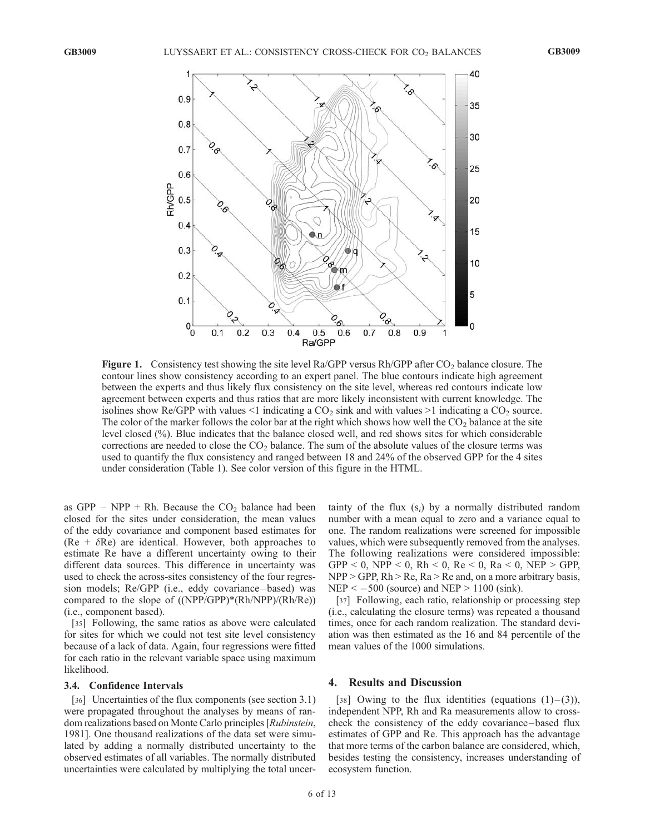

Figure 1. Consistency test showing the site level Ra/GPP versus Rh/GPP after  $CO<sub>2</sub>$  balance closure. The contour lines show consistency according to an expert panel. The blue contours indicate high agreement between the experts and thus likely flux consistency on the site level, whereas red contours indicate low agreement between experts and thus ratios that are more likely inconsistent with current knowledge. The isolines show Re/GPP with values  $\leq 1$  indicating a CO<sub>2</sub> sink and with values  $\geq 1$  indicating a CO<sub>2</sub> source. The color of the marker follows the color bar at the right which shows how well the  $CO<sub>2</sub>$  balance at the site level closed (%). Blue indicates that the balance closed well, and red shows sites for which considerable corrections are needed to close the  $CO<sub>2</sub>$  balance. The sum of the absolute values of the closure terms was used to quantify the flux consistency and ranged between 18 and 24% of the observed GPP for the 4 sites under consideration (Table 1). See color version of this figure in the HTML.

as GPP – NPP + Rh. Because the  $CO<sub>2</sub>$  balance had been closed for the sites under consideration, the mean values of the eddy covariance and component based estimates for (Re +  $\delta$ Re) are identical. However, both approaches to estimate Re have a different uncertainty owing to their different data sources. This difference in uncertainty was used to check the across-sites consistency of the four regression models; Re/GPP (i.e., eddy covariance-based) was compared to the slope of  $(NPP/GPP)*(Rh/NPP)/(Rh/Re)$ (i.e., component based).

[35] Following, the same ratios as above were calculated for sites for which we could not test site level consistency because of a lack of data. Again, four regressions were fitted for each ratio in the relevant variable space using maximum likelihood.

### 3.4. Confidence Intervals

[36] Uncertainties of the flux components (see section 3.1) were propagated throughout the analyses by means of random realizations based on Monte Carlo principles [Rubinstein, 1981]. One thousand realizations of the data set were simulated by adding a normally distributed uncertainty to the observed estimates of all variables. The normally distributed uncertainties were calculated by multiplying the total uncertainty of the flux  $(s_i)$  by a normally distributed random number with a mean equal to zero and a variance equal to one. The random realizations were screened for impossible values, which were subsequently removed from the analyses. The following realizations were considered impossible: GPP < 0, NPP < 0, Rh < 0, Re < 0, Ra < 0, NEP > GPP, NPP > GPP, Rh > Re, Ra > Re and, on a more arbitrary basis,  $NEP < -500$  (source) and  $NEP > 1100$  (sink).

[37] Following, each ratio, relationship or processing step (i.e., calculating the closure terms) was repeated a thousand times, once for each random realization. The standard deviation was then estimated as the 16 and 84 percentile of the mean values of the 1000 simulations.

# 4. Results and Discussion

[38] Owing to the flux identities (equations  $(1)$ – $(3)$ ), independent NPP, Rh and Ra measurements allow to crosscheck the consistency of the eddy covariance – based flux estimates of GPP and Re. This approach has the advantage that more terms of the carbon balance are considered, which, besides testing the consistency, increases understanding of ecosystem function.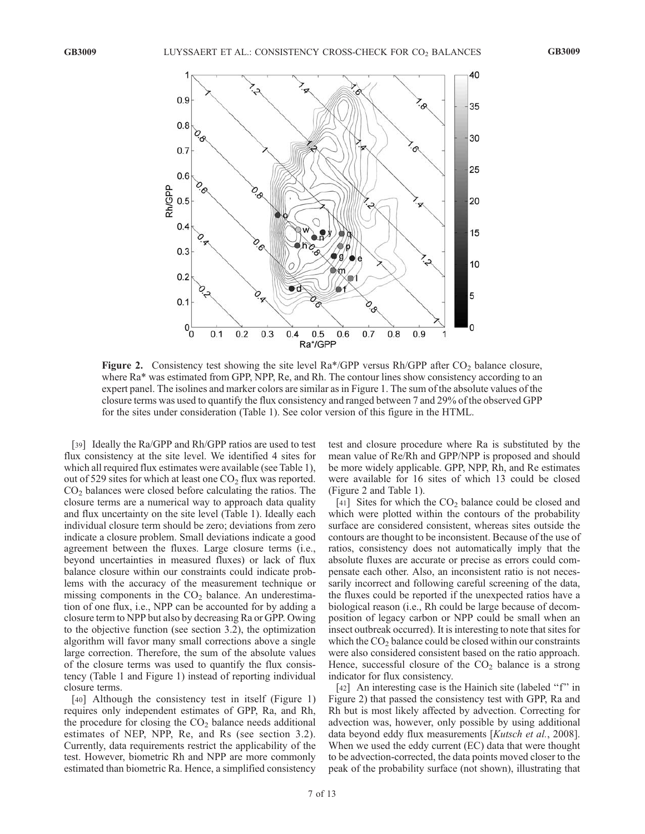

**Figure 2.** Consistency test showing the site level  $Ra^*/GPP$  versus  $Rh/GPP$  after  $CO<sub>2</sub>$  balance closure, where  $Ra^*$  was estimated from GPP, NPP, Re, and Rh. The contour lines show consistency according to an expert panel. The isolines and marker colors are similar as in Figure 1. The sum of the absolute values of the closure terms was used to quantify the flux consistency and ranged between 7 and 29% of the observed GPP for the sites under consideration (Table 1). See color version of this figure in the HTML.

[39] Ideally the Ra/GPP and Rh/GPP ratios are used to test flux consistency at the site level. We identified 4 sites for which all required flux estimates were available (see Table 1), out of 529 sites for which at least one  $CO<sub>2</sub>$  flux was reported.  $CO<sub>2</sub>$  balances were closed before calculating the ratios. The closure terms are a numerical way to approach data quality and flux uncertainty on the site level (Table 1). Ideally each individual closure term should be zero; deviations from zero indicate a closure problem. Small deviations indicate a good agreement between the fluxes. Large closure terms (i.e., beyond uncertainties in measured fluxes) or lack of flux balance closure within our constraints could indicate problems with the accuracy of the measurement technique or missing components in the  $CO<sub>2</sub>$  balance. An underestimation of one flux, i.e., NPP can be accounted for by adding a closure term to NPP but also by decreasing Ra or GPP. Owing to the objective function (see section 3.2), the optimization algorithm will favor many small corrections above a single large correction. Therefore, the sum of the absolute values of the closure terms was used to quantify the flux consistency (Table 1 and Figure 1) instead of reporting individual closure terms.

[40] Although the consistency test in itself (Figure 1) requires only independent estimates of GPP, Ra, and Rh, the procedure for closing the  $CO<sub>2</sub>$  balance needs additional estimates of NEP, NPP, Re, and Rs (see section 3.2). Currently, data requirements restrict the applicability of the test. However, biometric Rh and NPP are more commonly estimated than biometric Ra. Hence, a simplified consistency test and closure procedure where Ra is substituted by the mean value of Re/Rh and GPP/NPP is proposed and should be more widely applicable. GPP, NPP, Rh, and Re estimates were available for 16 sites of which 13 could be closed (Figure 2 and Table 1).

[41] Sites for which the  $CO<sub>2</sub>$  balance could be closed and which were plotted within the contours of the probability surface are considered consistent, whereas sites outside the contours are thought to be inconsistent. Because of the use of ratios, consistency does not automatically imply that the absolute fluxes are accurate or precise as errors could compensate each other. Also, an inconsistent ratio is not necessarily incorrect and following careful screening of the data, the fluxes could be reported if the unexpected ratios have a biological reason (i.e., Rh could be large because of decomposition of legacy carbon or NPP could be small when an insect outbreak occurred). It is interesting to note that sites for which the  $CO<sub>2</sub>$  balance could be closed within our constraints were also considered consistent based on the ratio approach. Hence, successful closure of the  $CO<sub>2</sub>$  balance is a strong indicator for flux consistency.

[42] An interesting case is the Hainich site (labeled "f" in Figure 2) that passed the consistency test with GPP, Ra and Rh but is most likely affected by advection. Correcting for advection was, however, only possible by using additional data beyond eddy flux measurements [Kutsch et al., 2008]. When we used the eddy current (EC) data that were thought to be advection-corrected, the data points moved closer to the peak of the probability surface (not shown), illustrating that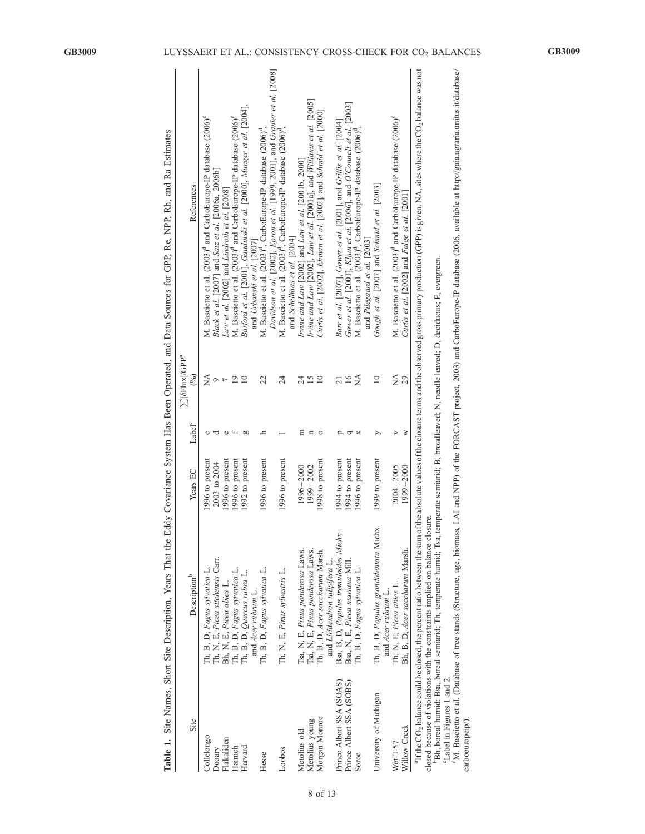|                            | Table 1. Site Names, Short Site Description, Years That the                                                                                                                                                                          |                 |                    |                                                           | Eddy Covariance System Has Been Operated, and Data Sources for GPP, Re, NPP, Rh, and Ra Estimates                                                                                                                                                |
|----------------------------|--------------------------------------------------------------------------------------------------------------------------------------------------------------------------------------------------------------------------------------|-----------------|--------------------|-----------------------------------------------------------|--------------------------------------------------------------------------------------------------------------------------------------------------------------------------------------------------------------------------------------------------|
| Site                       | Description <sup>b</sup>                                                                                                                                                                                                             | Years EC        | Label <sup>c</sup> | $\sum  \delta \text{Flux} /\text{GPP}^a$<br>$\mathcal{S}$ | References                                                                                                                                                                                                                                       |
| Collelongo                 | Th, B, D, Fagus sylvatica L.                                                                                                                                                                                                         | 1996 to present |                    | ≨                                                         | M. Bascietto et al. (2003) <sup>d</sup> and CarboEurope-IP database (2006) <sup>d</sup>                                                                                                                                                          |
| Dooary                     | Th, N, E, Picea sitchensis Carr.                                                                                                                                                                                                     | 2003 to 2004    |                    | ç                                                         | Black et al. $[2007]$ and Saiz et al. $[2006a, 2006b]$                                                                                                                                                                                           |
| Flakaliden                 |                                                                                                                                                                                                                                      | 1996 to present |                    | $\overline{ }$                                            | Law et al. [2002] and Lindroth et al. [2008]                                                                                                                                                                                                     |
| Hainich                    |                                                                                                                                                                                                                                      | 1996 to present |                    | 19                                                        | M. Bascietto et al. (2003) <sup>d</sup> and CarboEurope-IP database (2006) <sup>d</sup>                                                                                                                                                          |
| Harvard                    | Bh, N, E, Picea abies L.<br>Th, B, D, Fagus sylvatica L.<br>Th, B, D, Quercus rubra L.                                                                                                                                               | 1992 to present | <b>b</b>           | 10                                                        | Barford et al. [2001], Gaudinski et al. [2000], Munger et al. [2004],                                                                                                                                                                            |
|                            | and <i>Acer</i> rubrum L.                                                                                                                                                                                                            |                 |                    |                                                           | and Urbanski et al. [2007]                                                                                                                                                                                                                       |
| Hesse                      | Th, B, D, Fagus sylvatica L.                                                                                                                                                                                                         | 1996 to present |                    | 22                                                        | M. Bascietto et al. (2003) <sup>d</sup> , CarboEurope-IP database (2006) <sup>d</sup> ,                                                                                                                                                          |
| Loobos                     | Th, N, E, Pinus sylvestris L.                                                                                                                                                                                                        | 1996 to present |                    | $^{24}$                                                   | Davidson et al. [2002], Epron et al. [1999, 2001], and Granier et al. [2008]<br>M. Bascietto et al. (2003) <sup>d</sup> , CarboEurope-IP database (2006) <sup>d</sup> ,                                                                          |
|                            |                                                                                                                                                                                                                                      |                 |                    |                                                           | and Schelhaas et al. [2004]                                                                                                                                                                                                                      |
| Metolius old               |                                                                                                                                                                                                                                      | 1996-2000       | Ξ                  | 24                                                        | Irvine and Law [2002] and Law et al. [2001b, 2000]                                                                                                                                                                                               |
| Metolius young             | Tsa, N, E, Pinus ponderosa Laws.<br>Tsa, N, E, Pinus ponderosa Laws.                                                                                                                                                                 | 1999-2002       |                    | 15                                                        | Irvine and Law [2002], Law et al. [2001a], and Williams et al. [2005]                                                                                                                                                                            |
| Morgan Monroe              | Th, B, D, <i>Acer saccharum</i> Marsh.                                                                                                                                                                                               | 1998 to present | $\circ$            | $\overline{10}$                                           | Curtis et al. [2002], Ehman et al. [2002], and Schmid et al. [2000]                                                                                                                                                                              |
|                            | and Liridendron tulipifera L.                                                                                                                                                                                                        |                 |                    |                                                           |                                                                                                                                                                                                                                                  |
| Prince Albert SSA (SOAS)   | Bsa, B, D, Populus tremuloides Michx.                                                                                                                                                                                                | 1994 to present |                    | $\overline{21}$                                           | Barr et al. [2007], Gower et al. [2001], and Griffis et al. [2004]                                                                                                                                                                               |
| Prince Albert SSA (SOBS)   | Bsa, N, E, Picea mariana Mill.                                                                                                                                                                                                       | 1994 to present | ᠳ                  | 16                                                        | Gower et al. [2001], Kljun et al. [2006], and O'Connell et al. [2003]                                                                                                                                                                            |
| Soroe                      | Th, B, D, Fagus sylvatica L.                                                                                                                                                                                                         | 1996 to present | ×                  | $\sum_{i=1}^{n}$                                          | M. Bascietto et al. (2003) <sup>d</sup> , CarboEurope-IP database (2006) <sup>d</sup> ,                                                                                                                                                          |
|                            |                                                                                                                                                                                                                                      |                 |                    |                                                           | and Pilegaard et al. [2003]                                                                                                                                                                                                                      |
| University of Michigan     | Th, B, D, Populus grandidentata Michx.                                                                                                                                                                                               | 1999 to present | ⋋                  | $\overline{10}$                                           | Gough et al. [2007] and Schmid et al. [2003]                                                                                                                                                                                                     |
|                            | and Acer rubrum L.                                                                                                                                                                                                                   |                 |                    |                                                           |                                                                                                                                                                                                                                                  |
| Wet-T-57                   | Th, N, E, Picea abies L.                                                                                                                                                                                                             | $2004 - 2005$   | $\triangleright$   | Á                                                         | M. Bascietto et al. (2003) <sup>d</sup> and CarboEurope-IP database (2006) <sup>d</sup>                                                                                                                                                          |
| Willow Creek               | Bh, B, D, Acer saccharum Marsh.                                                                                                                                                                                                      | 1999-2000       | $\geq$             | 29                                                        | Curtis et al. [2002] and Falge et al. [2001                                                                                                                                                                                                      |
|                            |                                                                                                                                                                                                                                      |                 |                    |                                                           | ${}^{8}$ If the CO <sub>2</sub> balance could be closed, the percent ratio between the sum of the sume values of the closure terms and the observed gross primary production (GPP) is given. NA, sites where the CO <sub>2</sub> balance was not |
|                            | PBh, boreal humid: Bsa, boreal semiarid; Th, temperate humid; Tsa, temperate semiarid; B, broadleaved; N, needle leaved; D, deciduous; E, evergreen.<br>closed because of violations with the constraints implied on balance closure |                 |                    |                                                           |                                                                                                                                                                                                                                                  |
| 'Label in Figures 1 and 2. |                                                                                                                                                                                                                                      |                 |                    |                                                           |                                                                                                                                                                                                                                                  |
|                            |                                                                                                                                                                                                                                      |                 |                    |                                                           | <sup>6</sup> M. Bascietto et al. (Database of tree stands (Structure, age, biomass, LAI and NPP) of the FORCAST project, 2003) and CarboEurope-IP database (2006, available at http://gaia.agraria.unitus.it/database/                           |
| carboeuropeip/).           |                                                                                                                                                                                                                                      |                 |                    |                                                           |                                                                                                                                                                                                                                                  |

|                                                                                                                                | đ                                                    |
|--------------------------------------------------------------------------------------------------------------------------------|------------------------------------------------------|
|                                                                                                                                |                                                      |
|                                                                                                                                |                                                      |
|                                                                                                                                | ć<br>I                                               |
| l                                                                                                                              |                                                      |
|                                                                                                                                |                                                      |
|                                                                                                                                |                                                      |
|                                                                                                                                |                                                      |
|                                                                                                                                |                                                      |
|                                                                                                                                |                                                      |
|                                                                                                                                | l                                                    |
|                                                                                                                                | l                                                    |
|                                                                                                                                |                                                      |
|                                                                                                                                |                                                      |
|                                                                                                                                | $\ddot{\phantom{0}}$<br>1                            |
| $\overline{a}$                                                                                                                 | l                                                    |
|                                                                                                                                | ֕<br>l                                               |
|                                                                                                                                | j                                                    |
|                                                                                                                                |                                                      |
|                                                                                                                                | į                                                    |
|                                                                                                                                |                                                      |
|                                                                                                                                |                                                      |
|                                                                                                                                |                                                      |
|                                                                                                                                |                                                      |
| Ì                                                                                                                              |                                                      |
|                                                                                                                                |                                                      |
|                                                                                                                                | ģ                                                    |
| I                                                                                                                              |                                                      |
|                                                                                                                                | i                                                    |
|                                                                                                                                |                                                      |
|                                                                                                                                |                                                      |
|                                                                                                                                | 227                                                  |
|                                                                                                                                | j                                                    |
|                                                                                                                                |                                                      |
| l                                                                                                                              |                                                      |
|                                                                                                                                |                                                      |
|                                                                                                                                | $\frac{1}{2}$<br>i<br>i                              |
| ļ                                                                                                                              | I<br>Y                                               |
|                                                                                                                                |                                                      |
|                                                                                                                                |                                                      |
|                                                                                                                                |                                                      |
|                                                                                                                                | 1                                                    |
|                                                                                                                                |                                                      |
|                                                                                                                                |                                                      |
|                                                                                                                                |                                                      |
|                                                                                                                                |                                                      |
|                                                                                                                                |                                                      |
|                                                                                                                                |                                                      |
|                                                                                                                                | į                                                    |
|                                                                                                                                |                                                      |
|                                                                                                                                |                                                      |
|                                                                                                                                |                                                      |
|                                                                                                                                |                                                      |
|                                                                                                                                | i                                                    |
|                                                                                                                                | j                                                    |
|                                                                                                                                |                                                      |
|                                                                                                                                |                                                      |
|                                                                                                                                |                                                      |
|                                                                                                                                | $+$ nat $+$                                          |
|                                                                                                                                | ţ                                                    |
|                                                                                                                                | 5                                                    |
|                                                                                                                                |                                                      |
|                                                                                                                                |                                                      |
|                                                                                                                                | ١<br>ł                                               |
|                                                                                                                                | $\ddot{\phantom{a}}$<br>ļ                            |
|                                                                                                                                | ֖֖֖֖֖֖֧ׅ֖֖֧֖֧֚֚֚֚֚֚֚֚֚֚֚֚֚֚֚֚֚֚֚֚֚֚֚֚֬֝֬֝֝֓֞֝֓֬<br>l |
|                                                                                                                                | l<br>ï                                               |
|                                                                                                                                | đ                                                    |
|                                                                                                                                | ļ                                                    |
| ֖֖֖֖֖֖֖֖֧ׅ֖֧֧ׅ֧֪ׅ֧֧֧֧֧֪֧֧֧֧֧֧֧֚֚֚֚֚֚֚֚֚֚֚֚֚֚֚֚֚֚֚֡֬֝֬֓֝֬֓֝֬֓֓֬֓֝֬֓֬֝֬֝֬֝֬֝֬֝֬֝֬֝֬֝֬֝֬֝֬֝֬֝֬֝֬<br>İ<br>$\overline{\phantom{a}}$ |                                                      |
|                                                                                                                                | į                                                    |
|                                                                                                                                | ļ<br>í                                               |
|                                                                                                                                |                                                      |
|                                                                                                                                |                                                      |
|                                                                                                                                | ١<br>i<br>֠<br>í                                     |
|                                                                                                                                | ś                                                    |
|                                                                                                                                | å                                                    |
|                                                                                                                                | $\overline{\phantom{a}}$                             |
|                                                                                                                                | d                                                    |
| ŕ                                                                                                                              | j                                                    |
|                                                                                                                                |                                                      |
|                                                                                                                                | i                                                    |
|                                                                                                                                | l                                                    |
| :                                                                                                                              | Ĕ<br>è<br>ಡ                                          |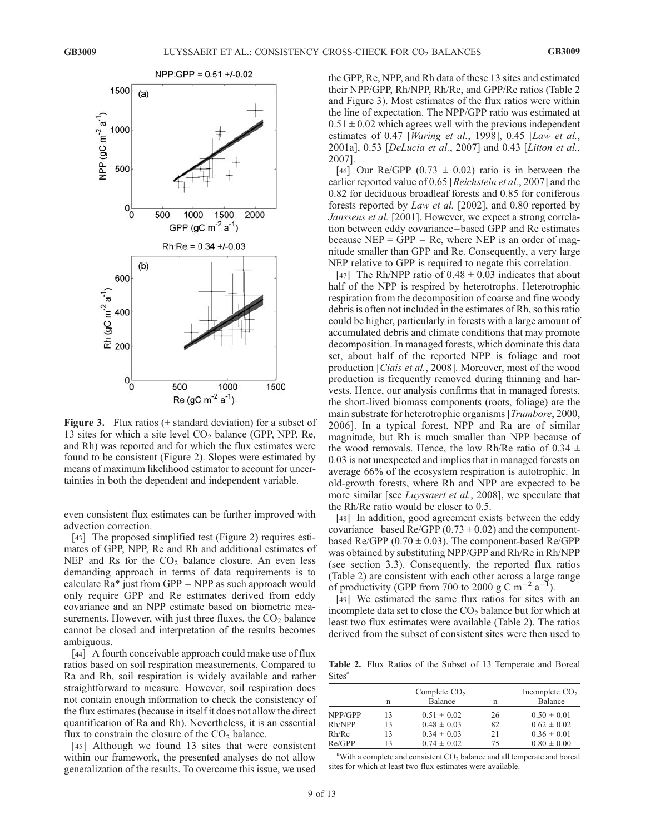

**Figure 3.** Flux ratios ( $\pm$  standard deviation) for a subset of 13 sites for which a site level  $CO<sub>2</sub>$  balance (GPP, NPP, Re, and Rh) was reported and for which the flux estimates were found to be consistent (Figure 2). Slopes were estimated by means of maximum likelihood estimator to account for uncertainties in both the dependent and independent variable.

even consistent flux estimates can be further improved with advection correction.

[43] The proposed simplified test (Figure 2) requires estimates of GPP, NPP, Re and Rh and additional estimates of NEP and Rs for the  $CO<sub>2</sub>$  balance closure. An even less demanding approach in terms of data requirements is to calculate Ra\* just from GPP – NPP as such approach would only require GPP and Re estimates derived from eddy covariance and an NPP estimate based on biometric measurements. However, with just three fluxes, the  $CO<sub>2</sub>$  balance cannot be closed and interpretation of the results becomes ambiguous.

[44] A fourth conceivable approach could make use of flux ratios based on soil respiration measurements. Compared to Ra and Rh, soil respiration is widely available and rather straightforward to measure. However, soil respiration does not contain enough information to check the consistency of the flux estimates (because in itself it does not allow the direct quantification of Ra and Rh). Nevertheless, it is an essential flux to constrain the closure of the  $CO<sub>2</sub>$  balance.

[45] Although we found 13 sites that were consistent within our framework, the presented analyses do not allow generalization of the results. To overcome this issue, we used

the GPP, Re, NPP, and Rh data of these 13 sites and estimated their NPP/GPP, Rh/NPP, Rh/Re, and GPP/Re ratios (Table 2 and Figure 3). Most estimates of the flux ratios were within the line of expectation. The NPP/GPP ratio was estimated at  $0.51 \pm 0.02$  which agrees well with the previous independent estimates of  $0.47$  [*Waring et al.,* 1998],  $0.45$  [*Law et al.,* 2001a], 0.53 [DeLucia et al., 2007] and 0.43 [Litton et al., 2007].

[46] Our Re/GPP (0.73  $\pm$  0.02) ratio is in between the earlier reported value of 0.65 [Reichstein et al., 2007] and the 0.82 for deciduous broadleaf forests and 0.85 for coniferous forests reported by Law et al. [2002], and 0.80 reported by Janssens et al. [2001]. However, we expect a strong correlation between eddy covariance – based GPP and Re estimates because  $NEP = GPP - Re$ , where NEP is an order of magnitude smaller than GPP and Re. Consequently, a very large NEP relative to GPP is required to negate this correlation.

[47] The Rh/NPP ratio of  $0.48 \pm 0.03$  indicates that about half of the NPP is respired by heterotrophs. Heterotrophic respiration from the decomposition of coarse and fine woody debris is often not included in the estimates of Rh, so this ratio could be higher, particularly in forests with a large amount of accumulated debris and climate conditions that may promote decomposition. In managed forests, which dominate this data set, about half of the reported NPP is foliage and root production [Ciais et al., 2008]. Moreover, most of the wood production is frequently removed during thinning and harvests. Hence, our analysis confirms that in managed forests, the short-lived biomass components (roots, foliage) are the main substrate for heterotrophic organisms [Trumbore, 2000, 2006]. In a typical forest, NPP and Ra are of similar magnitude, but Rh is much smaller than NPP because of the wood removals. Hence, the low Rh/Re ratio of  $0.34 \pm$ 0.03 is not unexpected and implies that in managed forests on average 66% of the ecosystem respiration is autotrophic. In old-growth forests, where Rh and NPP are expected to be more similar [see *Luyssaert et al.*, 2008], we speculate that the Rh/Re ratio would be closer to 0.5.

[48] In addition, good agreement exists between the eddy covariance – based Re/GPP  $(0.73 \pm 0.02)$  and the componentbased Re/GPP  $(0.70 \pm 0.03)$ . The component-based Re/GPP was obtained by substituting NPP/GPP and Rh/Re in Rh/NPP (see section 3.3). Consequently, the reported flux ratios (Table 2) are consistent with each other across a large range of productivity (GPP from 700 to 2000 g C m<sup>-2</sup> a<sup>-1</sup>).

[49] We estimated the same flux ratios for sites with an incomplete data set to close the  $CO<sub>2</sub>$  balance but for which at least two flux estimates were available (Table 2). The ratios derived from the subset of consistent sites were then used to

Table 2. Flux Ratios of the Subset of 13 Temperate and Boreal Sites<sup>a</sup>

|         | n  | Complete $CO2$<br><b>Balance</b> | n  | Incomplete $CO2$<br>Balance |
|---------|----|----------------------------------|----|-----------------------------|
| NPP/GPP | 13 | $0.51 \pm 0.02$                  | 26 | $0.50 \pm 0.01$             |
| Rh/NPP  | 13 | $0.48 \pm 0.03$                  | 82 | $0.62 \pm 0.02$             |
| Rh/Re   | 13 | $0.34 \pm 0.03$                  | 21 | $0.36 \pm 0.01$             |
| Re/GPP  | 13 | $0.74 \pm 0.02$                  | 75 | $0.80 \pm 0.00$             |

<sup>a</sup>With a complete and consistent  $CO<sub>2</sub>$  balance and all temperate and boreal sites for which at least two flux estimates were available.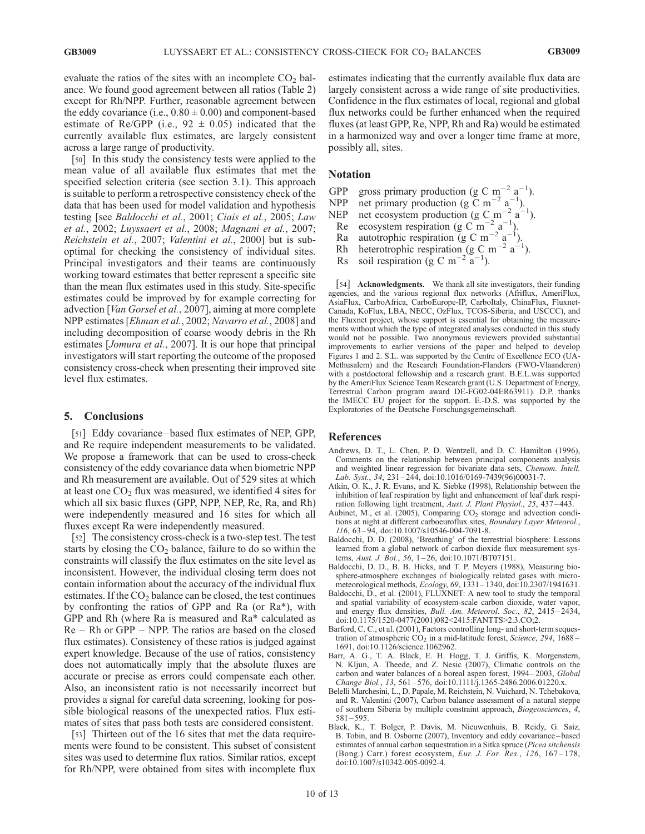evaluate the ratios of the sites with an incomplete  $CO<sub>2</sub>$  balance. We found good agreement between all ratios (Table 2) except for Rh/NPP. Further, reasonable agreement between the eddy covariance (i.e.,  $0.80 \pm 0.00$ ) and component-based estimate of Re/GPP (i.e.,  $92 \pm 0.05$ ) indicated that the currently available flux estimates, are largely consistent across a large range of productivity.

[50] In this study the consistency tests were applied to the mean value of all available flux estimates that met the specified selection criteria (see section 3.1). This approach is suitable to perform a retrospective consistency check of the data that has been used for model validation and hypothesis testing [see Baldocchi et al., 2001; Ciais et al., 2005; Law et al., 2002; Luyssaert et al., 2008; Magnani et al., 2007; Reichstein et al., 2007; Valentini et al., 2000] but is suboptimal for checking the consistency of individual sites. Principal investigators and their teams are continuously working toward estimates that better represent a specific site than the mean flux estimates used in this study. Site-specific estimates could be improved by for example correcting for advection [Van Gorsel et al., 2007], aiming at more complete NPP estimates [Ehman et al., 2002; Navarro et al., 2008] and including decomposition of coarse woody debris in the Rh estimates [*Jomura et al.*, 2007]. It is our hope that principal investigators will start reporting the outcome of the proposed consistency cross-check when presenting their improved site level flux estimates.

### 5. Conclusions

[51] Eddy covariance–based flux estimates of NEP, GPP, and Re require independent measurements to be validated. We propose a framework that can be used to cross-check consistency of the eddy covariance data when biometric NPP and Rh measurement are available. Out of 529 sites at which at least one  $CO<sub>2</sub>$  flux was measured, we identified 4 sites for which all six basic fluxes (GPP, NPP, NEP, Re, Ra, and Rh) were independently measured and 16 sites for which all fluxes except Ra were independently measured.

[52] The consistency cross-check is a two-step test. The test starts by closing the  $CO<sub>2</sub>$  balance, failure to do so within the constraints will classify the flux estimates on the site level as inconsistent. However, the individual closing term does not contain information about the accuracy of the individual flux estimates. If the  $CO<sub>2</sub>$  balance can be closed, the test continues by confronting the ratios of GPP and Ra (or Ra\*), with GPP and Rh (where Ra is measured and Ra\* calculated as Re – Rh or GPP – NPP. The ratios are based on the closed flux estimates). Consistency of these ratios is judged against expert knowledge. Because of the use of ratios, consistency does not automatically imply that the absolute fluxes are accurate or precise as errors could compensate each other. Also, an inconsistent ratio is not necessarily incorrect but provides a signal for careful data screening, looking for possible biological reasons of the unexpected ratios. Flux estimates of sites that pass both tests are considered consistent.

[53] Thirteen out of the 16 sites that met the data requirements were found to be consistent. This subset of consistent sites was used to determine flux ratios. Similar ratios, except for Rh/NPP, were obtained from sites with incomplete flux

estimates indicating that the currently available flux data are largely consistent across a wide range of site productivities. Confidence in the flux estimates of local, regional and global flux networks could be further enhanced when the required fluxes (at least GPP, Re, NPP, Rh and Ra) would be estimated in a harmonized way and over a longer time frame at more, possibly all, sites.

# Notation

- GPP gross primary production (g C m<sup>-2</sup> a<sup>-1</sup>).
- NPP net primary production (g  $\tilde{C}$  m<sup>-2</sup> a<sup>-1</sup>).
- NEP net ecosystem production (g C m<sup>-2</sup> a<sup>-1</sup>).
- Re ecosystem respiration (g C m<sup>-2</sup> a<sup>-1</sup>).
- Ra autotrophic respiration (g C m<sup>-2</sup> a<sup>-1</sup>).
- Rh heterotrophic respiration (g C m<sup>-2</sup> a<sup>-1</sup>).
- Rs soil respiration (g C m<sup>-2</sup>  $\alpha^{-1}$ ).

[54] Acknowledgments. We thank all site investigators, their funding agencies, and the various regional flux networks (Afriflux, AmeriFlux, AsiaFlux, CarboAfrica, CarboEurope-IP, CarboItaly, ChinaFlux, Fluxnet-Canada, KoFlux, LBA, NECC, OzFlux, TCOS-Siberia, and USCCC), and the Fluxnet project, whose support is essential for obtaining the measurements without which the type of integrated analyses conducted in this study would not be possible. Two anonymous reviewers provided substantial improvements to earlier versions of the paper and helped to develop Figures 1 and 2. S.L. was supported by the Centre of Excellence ECO (UA-Methusalem) and the Research Foundation-Flanders (FWO-Vlaanderen) with a postdoctoral fellowship and a research grant. B.E.L.was supported by the AmeriFlux Science Team Research grant (U.S. Department of Energy, Terrestrial Carbon program award DE-FG02-04ER63911). D.P. thanks the IMECC EU project for the support. E.-D.S. was supported by the Exploratories of the Deutsche Forschungsgemeinschaft.

#### References

- Andrews, D. T., L. Chen, P. D. Wentzell, and D. C. Hamilton (1996), Comments on the relationship between principal components analysis and weighted linear regression for bivariate data sets, Chemom. Intell. Lab. Syst., 34, 231 – 244, doi:10.1016/0169-7439(96)00031-7.
- Atkin, O. K., J. R. Evans, and K. Siebke (1998), Relationship between the inhibition of leaf respiration by light and enhancement of leaf dark respiration following light treatment, Aust. J. Plant Physiol., 25, 437-443.
- Aubinet, M., et al. (2005), Comparing  $CO<sub>2</sub>$  storage and advection conditions at night at different carboeuroflux sites, Boundary Layer Meteorol.,  $116, 63 - 94, \text{ doi: } 10.1007 \times 10546 - 004 - 7091 - 8.$
- Baldocchi, D. D. (2008), 'Breathing' of the terrestrial biosphere: Lessons learned from a global network of carbon dioxide flux measurement systems, Aust. J. Bot., 56, 1-26, doi:10.1071/BT07151.
- Baldocchi, D. D., B. B. Hicks, and T. P. Meyers (1988), Measuring biosphere-atmosphere exchanges of biologically related gases with micrometeorological methods, Ecology, 69, 1331 – 1340, doi:10.2307/1941631.
- Baldocchi, D., et al. (2001), FLUXNET: A new tool to study the temporal and spatial variability of ecosystem-scale carbon dioxide, water vapor, and energy flux densities, *Bull. Am. Meteorol. Soc.*, 82, 2415-2434, doi:10.1175/1520-0477(2001)082<2415:FANTTS>2.3.CO;2.
- Barford, C. C., et al. (2001), Factors controlling long- and short-term sequestration of atmospheric  $CO<sub>2</sub>$  in a mid-latitude forest, Science, 294, 1688 – 1691, doi:10.1126/science.1062962.
- Barr, A. G., T. A. Black, E. H. Hogg, T. J. Griffis, K. Morgenstern, N. Kljun, A. Theede, and Z. Nesic (2007), Climatic controls on the carbon and water balances of a boreal aspen forest, 1994 – 2003, Global Change Biol., 13, 561 – 576, doi:10.1111/j.1365-2486.2006.01220.x.
- Belelli Marchesini, L., D. Papale, M. Reichstein, N. Vuichard, N. Tchebakova, and R. Valentini (2007), Carbon balance assessment of a natural steppe of southern Siberia by multiple constraint approach, Biogeosciences, 4,  $581 - 595.$
- Black, K., T. Bolger, P. Davis, M. Nieuwenhuis, B. Reidy, G. Saiz, B. Tobin, and B. Osborne (2007), Inventory and eddy covariance – based estimates of annual carbon sequestration in a Sitka spruce (Picea sitchensis (Bong.) Carr.) forest ecosystem, Eur. J. For. Res., 126, 167-178, doi:10.1007/s10342-005-0092-4.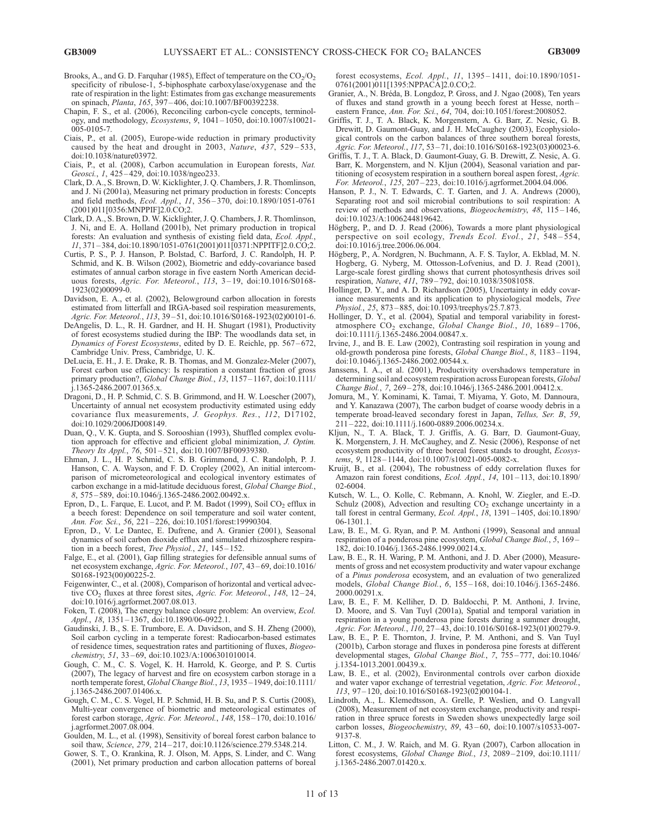- Brooks, A., and G. D. Farquhar (1985), Effect of temperature on the  $CO<sub>2</sub>/O<sub>2</sub>$ specificity of ribulose-1, 5-biphosphate carboxylase/oxygenase and the rate of respiration in the light: Estimates from gas exchange measurements on spinach, Planta, 165, 397 – 406, doi:10.1007/BF00392238.
- Chapin, F. S., et al. (2006), Reconciling carbon-cycle concepts, terminology, and methodology, Ecosystems, 9, 1041 – 1050, doi:10.1007/s10021- 005-0105-7.
- Ciais, P., et al. (2005), Europe-wide reduction in primary productivity caused by the heat and drought in 2003, Nature,  $437$ ,  $529-533$ , doi:10.1038/nature03972.
- Ciais, P., et al. (2008), Carbon accumulation in European forests, Nat. Geosci., 1, 425-429, doi:10.1038/ngeo233.
- Clark, D. A., S. Brown, D. W. Kicklighter, J. Q. Chambers, J. R. Thomlinson, and J. Ni (2001a), Measuring net primary production in forests: Concepts and field methods, *Ecol. Appl.*, 11, 356-370, doi:10.1890/1051-0761 (2001)011[0356:MNPPIF]2.0.CO;2.
- Clark, D. A., S. Brown, D. W. Kicklighter, J. Q. Chambers, J. R. Thomlinson, J. Ni, and E. A. Holland (2001b), Net primary production in tropical forests: An evaluation and synthesis of existing field data, Ecol. Appl.,  $11, 371 - 384,$  doi:10.1890/1051-0761(2001)011[0371:NPPITF]2.0.CO;2.
- Curtis, P. S., P. J. Hanson, P. Bolstad, C. Barford, J. C. Randolph, H. P. Schmid, and K. B. Wilson (2002), Biometric and eddy-covariance based estimates of annual carbon storage in five eastern North American deciduous forests, Agric. For. Meteorol., 113, 3-19, doi:10.1016/S0168-1923(02)00099-0.
- Davidson, E. A., et al. (2002), Belowground carbon allocation in forests estimated from litterfall and IRGA-based soil respiration measurements, Agric. For. Meteorol., 113, 39 – 51, doi:10.1016/S0168-1923(02)00101-6.
- DeAngelis, D. L., R. H. Gardner, and H. H. Shugart (1981), Productivity of forest ecosystems studied during the IBP: The woodlands data set, in Dynamics of Forest Ecosystems, edited by D. E. Reichle, pp. 567-672, Cambridge Univ. Press, Cambridge, U. K.
- DeLucia, E. H., J. E. Drake, R. B. Thomas, and M. Gonzalez-Meler (2007), Forest carbon use efficiency: Is respiration a constant fraction of gross primary production?, Global Change Biol., 13, 1157-1167, doi:10.1111/ j.1365-2486.2007.01365.x.
- Dragoni, D., H. P. Schmid, C. S. B. Grimmond, and H. W. Loescher (2007), Uncertainty of annual net ecosystem productivity estimated using eddy covariance flux measurements, J. Geophys. Res., 112, D17102, doi:10.1029/2006JD008149.
- Duan, Q., V. K. Gupta, and S. Sorooshian (1993), Shuffled complex evolution approach for effective and efficient global minimization, J. Optim. Theory Its Appl., 76, 501 – 521, doi:10.1007/BF00939380.
- Ehman, J. L., H. P. Schmid, C. S. B. Grimmond, J. C. Randolph, P. J. Hanson, C. A. Wayson, and F. D. Cropley (2002), An initial intercomparison of micrometeorological and ecological inventory estimates of carbon exchange in a mid-latitude deciduous forest, Global Change Biol., 8, 575 – 589, doi:10.1046/j.1365-2486.2002.00492.x.
- Epron, D., L. Farque, E. Lucot, and P. M. Badot (1999), Soil  $CO_2$  efflux in a beech forest: Dependence on soil temperature and soil water content, Ann. For. Sci., 56, 221 – 226, doi:10.1051/forest:19990304.
- Epron, D., V. Le Dantec, E. Dufrene, and A. Granier (2001), Seasonal dynamics of soil carbon dioxide efflux and simulated rhizosphere respiration in a beech forest, Tree Physiol., 21, 145-152.
- Falge, E., et al. (2001), Gap filling strategies for defensible annual sums of net ecosystem exchange, Agric. For. Meteorol., 107, 43 – 69, doi:10.1016/ S0168-1923(00)00225-2.
- Feigenwinter, C., et al. (2008), Comparison of horizontal and vertical advective  $CO<sub>2</sub>$  fluxes at three forest sites, *Agric. For. Meteorol.*, 148, 12–24, doi:10.1016/j.agrformet.2007.08.013.
- Foken, T. (2008), The energy balance closure problem: An overview, Ecol. Appl., 18, 1351 – 1367, doi:10.1890/06-0922.1.
- Gaudinski, J. B., S. E. Trumbore, E. A. Davidson, and S. H. Zheng (2000), Soil carbon cycling in a temperate forest: Radiocarbon-based estimates of residence times, sequestration rates and partitioning of fluxes, Biogeochemistry, 51, 33-69, doi:10.1023/A:1006301010014.
- Gough, C. M., C. S. Vogel, K. H. Harrold, K. George, and P. S. Curtis (2007), The legacy of harvest and fire on ecosystem carbon storage in a north temperate forest, Global Change Biol., 13, 1935 – 1949, doi:10.1111/ j.1365-2486.2007.01406.x.
- Gough, C. M., C. S. Vogel, H. P. Schmid, H. B. Su, and P. S. Curtis (2008), Multi-year convergence of biometric and meteorological estimates of forest carbon storage, Agric. For. Meteorol., 148, 158 – 170, doi:10.1016/ j.agrformet.2007.08.004.
- Goulden, M. L., et al. (1998), Sensitivity of boreal forest carbon balance to soil thaw, Science, 279, 214 – 217, doi:10.1126/science.279.5348.214.
- Gower, S. T., O. Krankina, R. J. Olson, M. Apps, S. Linder, and C. Wang (2001), Net primary production and carbon allocation patterns of boreal

forest ecosystems, Ecol. Appl., 11, 1395 – 1411, doi:10.1890/1051- 0761(2001)011[1395:NPPACA]2.0.CO;2.

- Granier, A., N. Bréda, B. Longdoz, P. Gross, and J. Ngao (2008), Ten years of fluxes and stand growth in a young beech forest at Hesse, north – eastern France, Ann. For. Sci., 64, 704, doi:10.1051/forest:2008052.
- Griffis, T. J., T. A. Black, K. Morgenstern, A. G. Barr, Z. Nesic, G. B. Drewitt, D. Gaumont-Guay, and J. H. McCaughey (2003), Ecophysiological controls on the carbon balances of three southern boreal forests, Agric. For. Meteorol., 117, 53 – 71, doi:10.1016/S0168-1923(03)00023-6.
- Griffis, T. J., T. A. Black, D. Gaumont-Guay, G. B. Drewitt, Z. Nesic, A. G. Barr, K. Morgenstern, and N. Kljun (2004), Seasonal variation and partitioning of ecosystem respiration in a southern boreal aspen forest, Agric. For. Meteorol., 125, 207 – 223, doi:10.1016/j.agrformet.2004.04.006.
- Hanson, P. J., N. T. Edwards, C. T. Garten, and J. A. Andrews (2000), Separating root and soil microbial contributions to soil respiration: A review of methods and observations, *Biogeochemistry*, 48, 115–146, doi:10.1023/A:1006244819642.
- Högberg, P., and D. J. Read (2006), Towards a more plant physiological perspective on soil ecology, Trends Ecol. Evol., 21, 548-554, doi:10.1016/j.tree.2006.06.004.
- Högberg, P., A. Nordgren, N. Buchmann, A. F. S. Taylor, A. Ekblad, M. N. Hogberg, G. Nyberg, M. Ottosson-Lofvenius, and D. J. Read (2001), Large-scale forest girdling shows that current photosynthesis drives soil respiration, Nature, 411, 789 – 792, doi:10.1038/35081058.
- Hollinger, D. Y., and A. D. Richardson (2005), Uncertainty in eddy covariance measurements and its application to physiological models, Tree Physiol., 25, 873-885, doi:10.1093/treephys/25.7.873.
- Hollinger, D. Y., et al. (2004), Spatial and temporal variability in forestatmosphere CO<sub>2</sub> exchange, Global Change Biol., 10, 1689-1706, doi:10.1111/j.1365-2486.2004.00847.x.
- Irvine, J., and B. E. Law (2002), Contrasting soil respiration in young and old-growth ponderosa pine forests, Global Change Biol., 8, 1183-1194, doi:10.1046/j.1365-2486.2002.00544.x.
- Janssens, I. A., et al. (2001), Productivity overshadows temperature in determining soil and ecosystem respiration across European forests, Global Change Biol., 7, 269 – 278, doi:10.1046/j.1365-2486.2001.00412.x.
- Jomura, M., Y. Kominami, K. Tamai, T. Miyama, Y. Goto, M. Dannoura, and Y. Kanazawa (2007), The carbon budget of coarse woody debris in a temperate broad-leaved secondary forest in Japan, Tellus, Ser. B, 59, 211 – 222, doi:10.1111/j.1600-0889.2006.00234.x.
- Kljun, N., T. A. Black, T. J. Griffis, A. G. Barr, D. Gaumont-Guay, K. Morgenstern, J. H. McCaughey, and Z. Nesic (2006), Response of net ecosystem productivity of three boreal forest stands to drought, Ecosystems, 9, 1128-1144, doi:10.1007/s10021-005-0082-x.
- Kruijt, B., et al. (2004), The robustness of eddy correlation fluxes for Amazon rain forest conditions, Ecol. Appl., 14, 101-113, doi:10.1890/ 02-6004.
- Kutsch, W. L., O. Kolle, C. Rebmann, A. Knohl, W. Ziegler, and E.-D. Schulz (2008), Advection and resulting  $CO<sub>2</sub>$  exchange uncertainty in a tall forest in central Germany, Ecol. Appl., 18, 1391 – 1405, doi:10.1890/ 06-1301.1.
- Law, B. E., M. G. Ryan, and P. M. Anthoni (1999), Seasonal and annual respiration of a ponderosa pine ecosystem, Global Change Biol., 5, 169 – 182, doi:10.1046/j.1365-2486.1999.00214.x.
- Law, B. E., R. H. Waring, P. M. Anthoni, and J. D. Aber (2000), Measurements of gross and net ecosystem productivity and water vapour exchange of a Pinus ponderosa ecosystem, and an evaluation of two generalized models, Global Change Biol., 6, 155 – 168, doi:10.1046/j.1365-2486. 2000.00291.x.
- Law, B. E., F. M. Kelliher, D. D. Baldocchi, P. M. Anthoni, J. Irvine, D. Moore, and S. Van Tuyl (2001a), Spatial and temporal variation in respiration in a young ponderosa pine forests during a summer drought, Agric. For. Meteorol., 110, 27 – 43, doi:10.1016/S0168-1923(01)00279-9.
- Law, B. E., P. E. Thornton, J. Irvine, P. M. Anthoni, and S. Van Tuyl (2001b), Carbon storage and fluxes in ponderosa pine forests at different developmental stages, Global Change Biol., 7, 755-777, doi:10.1046/ j.1354-1013.2001.00439.x.
- Law, B. E., et al. (2002), Environmental controls over carbon dioxide and water vapor exchange of terrestrial vegetation, Agric. For. Meteorol., 113, 97 – 120, doi:10.1016/S0168-1923(02)00104-1.
- Lindroth, A., L. Klemedtsson, A. Grelle, P. Weslien, and O. Langvall (2008), Measurement of net ecosystem exchange, productivity and respiration in three spruce forests in Sweden shows unexpectedly large soil carbon losses, Biogeochemistry, 89, 43 – 60, doi:10.1007/s10533-007- 9137-8.
- Litton, C. M., J. W. Raich, and M. G. Ryan (2007), Carbon allocation in forest ecosystems, Global Change Biol., 13, 2089 – 2109, doi:10.1111/ j.1365-2486.2007.01420.x.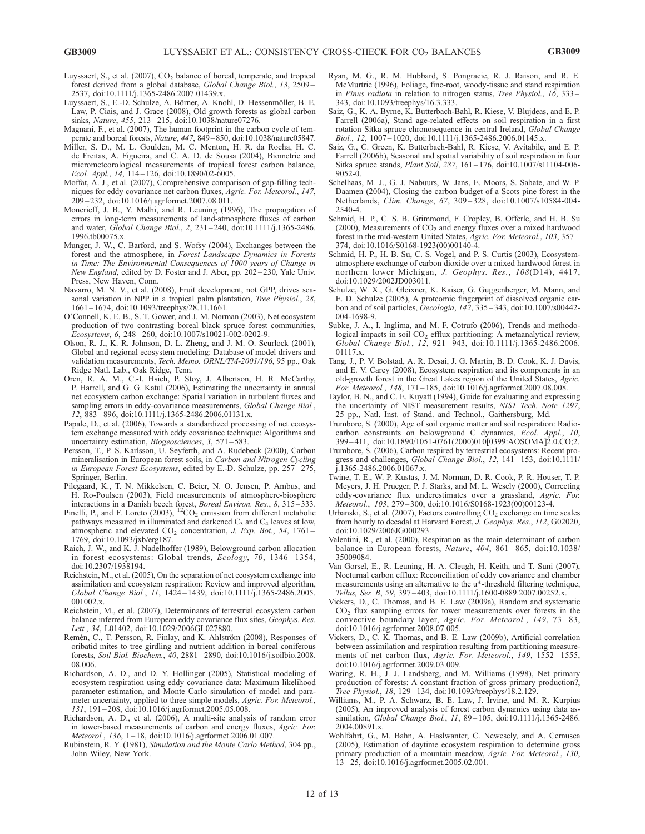- Luyssaert, S., et al. (2007),  $CO<sub>2</sub>$  balance of boreal, temperate, and tropical forest derived from a global database, Global Change Biol., 13, 2509 – 2537, doi:10.1111/j.1365-2486.2007.01439.x.
- Luyssaert, S., E.-D. Schulze, A. Börner, A. Knohl, D. Hessenmöller, B. E. Law, P. Ciais, and J. Grace (2008), Old growth forests as global carbon sinks, Nature, 455, 213-215, doi:10.1038/nature07276.
- Magnani, F., et al. (2007), The human footprint in the carbon cycle of temperate and boreal forests, Nature, 447, 849-850, doi:10.1038/nature05847.
- Miller, S. D., M. L. Goulden, M. C. Menton, H. R. da Rocha, H. C. de Freitas, A. Figueira, and C. A. D. de Sousa (2004), Biometric and micrometeorological measurements of tropical forest carbon balance, Ecol. Appl., 14, 114 – 126, doi:10.1890/02-6005.
- Moffat, A. J., et al. (2007), Comprehensive comparison of gap-filling techniques for eddy covariance net carbon fluxes, Agric. For. Meteorol., 147, 209 – 232, doi:10.1016/j.agrformet.2007.08.011.
- Moncrieff, J. B., Y. Malhi, and R. Leuning (1996), The propagation of errors in long-term measurements of land-atmosphere fluxes of carbon and water, Global Change Biol., 2, 231 – 240, doi:10.1111/j.1365-2486. 1996.tb00075.x.
- Munger, J. W., C. Barford, and S. Wofsy (2004), Exchanges between the forest and the atmosphere, in Forest Landscape Dynamics in Forests in Time: The Environmental Consequences of 1000 years of Change in New England, edited by D. Foster and J. Aber, pp. 202-230, Yale Univ. Press, New Haven, Conn.
- Navarro, M. N. V., et al. (2008), Fruit development, not GPP, drives seasonal variation in NPP in a tropical palm plantation, Tree Physiol., 28, 1661 – 1674, doi:10.1093/treephys/28.11.1661.
- O'Connell, K. E. B., S. T. Gower, and J. M. Norman (2003), Net ecosystem production of two contrasting boreal black spruce forest communities, Ecosystems, 6, 248 – 260, doi:10.1007/s10021-002-0202-9.
- Olson, R. J., K. R. Johnson, D. L. Zheng, and J. M. O. Scurlock (2001), Global and regional ecosystem modeling: Database of model drivers and validation measurements, Tech. Memo. ORNL/TM-2001/196, 95 pp., Oak Ridge Natl. Lab., Oak Ridge, Tenn.
- Oren, R. A. M., C.-I. Hsieh, P. Stoy, J. Albertson, H. R. McCarthy, P. Harrell, and G. G. Katul (2006), Estimating the uncertainty in annual net ecosystem carbon exchange: Spatial variation in turbulent fluxes and sampling errors in eddy-covariance measurements, Global Change Biol., 12, 883 – 896, doi:10.1111/j.1365-2486.2006.01131.x.
- Papale, D., et al. (2006), Towards a standardized processing of net ecosystem exchange measured with eddy covariance technique: Algorithms and uncertainty estimation, *Biogeosciences*, 3, 571-583.
- Persson, T., P. S. Karlsson, U. Seyferth, and A. Rudebeck (2000), Carbon mineralisation in European forest soils, in Carbon and Nitrogen Cycling in European Forest Ecosystems, edited by E.-D. Schulze, pp. 257-275, Springer, Berlin.
- Pilegaard, K., T. N. Mikkelsen, C. Beier, N. O. Jensen, P. Ambus, and H. Ro-Poulsen (2003), Field measurements of atmosphere-biosphere interactions in a Danish beech forest, *Boreal Environ. Res.*, 8, 315–333.
- Pinelli, P., and F. Loreto (2003),  ${}^{12}CO_2$  emission from different metabolic pathways measured in illuminated and darkened  $C_3$  and  $C_4$  leaves at low, atmospheric and elevated  $CO<sub>2</sub>$  concentration, J. Exp. Bot., 54, 1761 – 1769, doi:10.1093/jxb/erg187.
- Raich, J. W., and K. J. Nadelhoffer (1989), Belowground carbon allocation in forest ecosystems: Global trends, Ecology, 70, 1346-1354, doi:10.2307/1938194.
- Reichstein, M., et al. (2005), On the separation of net ecosystem exchange into assimilation and ecosystem respiration: Review and improved algorithm, Global Change Biol., 11, 1424 – 1439, doi:10.1111/j.1365-2486.2005. 001002.x.
- Reichstein, M., et al. (2007), Determinants of terrestrial ecosystem carbon balance inferred from European eddy covariance flux sites, Geophys. Res. Lett., 34, L01402, doi:10.1029/2006GL027880.
- Remén, C., T. Persson, R. Finlay, and K. Ahlström (2008), Responses of oribatid mites to tree girdling and nutrient addition in boreal coniferous forests, Soil Biol. Biochem., 40, 2881 – 2890, doi:10.1016/j.soilbio.2008. 08.006.
- Richardson, A. D., and D. Y. Hollinger (2005), Statistical modeling of ecosystem respiration using eddy covariance data: Maximum likelihood parameter estimation, and Monte Carlo simulation of model and parameter uncertainty, applied to three simple models, Agric. For. Meteorol., 131, 191 – 208, doi:10.1016/j.agrformet.2005.05.008.
- Richardson, A. D., et al. (2006), A multi-site analysis of random error in tower-based measurements of carbon and energy fluxes, Agric. For. Meteorol., 136, 1 – 18, doi:10.1016/j.agrformet.2006.01.007.
- Rubinstein, R. Y. (1981), Simulation and the Monte Carlo Method, 304 pp., John Wiley, New York.
- Ryan, M. G., R. M. Hubbard, S. Pongracic, R. J. Raison, and R. E. McMurtrie (1996), Foliage, fine-root, woody-tissue and stand respiration in Pinus radiata in relation to nitrogen status, Tree Physiol., 16, 333– 343, doi:10.1093/treephys/16.3.333.
- Saiz, G., K. A. Byrne, K. Butterbach-Bahl, R. Kiese, V. Blujdeas, and E. P. Farrell (2006a), Stand age-related effects on soil respiration in a first rotation Sitka spruce chronosequence in central Ireland, Global Change Biol., 12, 1007-1020, doi:10.1111/j.1365-2486.2006.01145.x.
- Saiz, G., C. Green, K. Butterbach-Bahl, R. Kiese, V. Avitabile, and E. P. Farrell (2006b), Seasonal and spatial variability of soil respiration in four Sitka spruce stands, Plant Soil, 287, 161 – 176, doi:10.1007/s11104-006- 9052-0.
- Schelhaas, M. J., G. J. Nabuurs, W. Jans, E. Moors, S. Sabate, and W. P. Daamen (2004), Closing the carbon budget of a Scots pine forest in the Netherlands, Clim. Change, 67, 309 – 328, doi:10.1007/s10584-004- 2540-4.
- Schmid, H. P., C. S. B. Grimmond, F. Cropley, B. Offerle, and H. B. Su (2000), Measurements of  $CO<sub>2</sub>$  and energy fluxes over a mixed hardwood forest in the mid-western United States, Agric. For. Meteorol., 103, 357 – 374, doi:10.1016/S0168-1923(00)00140-4.
- Schmid, H. P., H. B. Su, C. S. Vogel, and P. S. Curtis (2003), Ecosystematmosphere exchange of carbon dioxide over a mixed hardwood forest in northern lower Michigan, J. Geophys. Res., 108(D14), 4417, doi:10.1029/2002JD003011.
- Schulze, W. X., G. Gleixner, K. Kaiser, G. Guggenberger, M. Mann, and E. D. Schulze (2005), A proteomic fingerprint of dissolved organic carbon and of soil particles, Oecologia, 142, 335 – 343, doi:10.1007/s00442- 004-1698-9.
- Subke, J. A., I. Inglima, and M. F. Cotrufo (2006), Trends and methodological impacts in soil CO<sub>2</sub> efflux partitioning: A metaanalytical review, Global Change Biol., 12, 921 – 943, doi:10.1111/j.1365-2486.2006. 01117.x.
- Tang, J., P. V. Bolstad, A. R. Desai, J. G. Martin, B. D. Cook, K. J. Davis, and E. V. Carey (2008), Ecosystem respiration and its components in an old-growth forest in the Great Lakes region of the United States, Agric. For. Meteorol., 148, 171 – 185, doi:10.1016/j.agrformet.2007.08.008.
- Taylor, B. N., and C. E. Kuyatt (1994), Guide for evaluating and expressing the uncertainty of NIST measurement results, NIST Tech. Note 1297, 25 pp., Natl. Inst. of Stand. and Technol., Gaithersburg, Md.
- Trumbore, S. (2000), Age of soil organic matter and soil respiration: Radiocarbon constraints on belowground C dynamics, Ecol. Appl., 10, 399 – 411, doi:10.1890/1051-0761(2000)010[0399:AOSOMA]2.0.CO;2.
- Trumbore, S. (2006), Carbon respired by terrestrial ecosystems: Recent progress and challenges, Global Change Biol., 12, 141-153, doi:10.1111/ j.1365-2486.2006.01067.x.
- Twine, T. E., W. P. Kustas, J. M. Norman, D. R. Cook, P. R. Houser, T. P. Meyers, J. H. Prueger, P. J. Starks, and M. L. Wesely (2000), Correcting eddy-covariance flux underestimates over a grassland, Agric. For. Meteorol., 103, 279 – 300, doi:10.1016/S0168-1923(00)00123-4.
- Urbanski, S., et al. (2007), Factors controlling  $CO<sub>2</sub>$  exchange on time scales from hourly to decadal at Harvard Forest, J. Geophys. Res., 112, G02020, doi:10.1029/2006JG000293.
- Valentini, R., et al. (2000), Respiration as the main determinant of carbon balance in European forests, Nature, 404, 861-865, doi:10.1038/ 35009084.
- Van Gorsel, E., R. Leuning, H. A. Cleugh, H. Keith, and T. Suni (2007), Nocturnal carbon efflux: Reconciliation of eddy covariance and chamber measurements using an alternative to the u\*-threshold filtering technique, Tellus, Ser. B, 59, 397 – 403, doi:10.1111/j.1600-0889.2007.00252.x.
- Vickers, D., C. Thomas, and B. E. Law (2009a), Random and systematic  $CO<sub>2</sub>$  flux sampling errors for tower measurements over forests in the convective boundary layer, Agric. For. Meteorol., 149, 73-83, doi:10.1016/j.agrformet.2008.07.005.
- Vickers, D., C. K. Thomas, and B. E. Law (2009b), Artificial correlation between assimilation and respiration resulting from partitioning measurements of net carbon flux, Agric. For. Meteorol., 149, 1552-1555, doi:10.1016/j.agrformet.2009.03.009.
- Waring, R. H., J. J. Landsberg, and M. Williams (1998), Net primary production of forests: A constant fraction of gross primary production?, Tree Physiol., 18, 129 – 134, doi:10.1093/treephys/18.2.129.
- Williams, M., P. A. Schwarz, B. E. Law, J. Irvine, and M. R. Kurpius (2005), An improved analysis of forest carbon dynamics using data assimilation, *Global Change Biol.*, 11, 89-105, doi:10.1111/j.1365-2486. 2004.00891.x.
- Wohlfahrt, G., M. Bahn, A. Haslwanter, C. Newesely, and A. Cernusca (2005), Estimation of daytime ecosystem respiration to determine gross primary production of a mountain meadow, Agric. For. Meteorol., 130, 13 – 25, doi:10.1016/j.agrformet.2005.02.001.